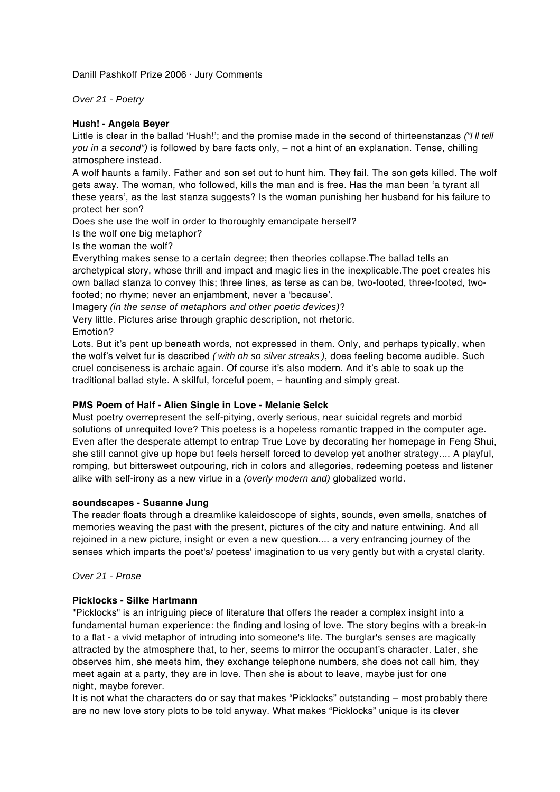Danill Pashkoff Prize 2006 · Jury Comments

Over 21 - Poetry

## **Hush! - Angela Beyer**

Little is clear in the ballad 'Hush!'; and the promise made in the second of thirteenstanzas ("I II tell you in a second") is followed by bare facts only, - not a hint of an explanation. Tense, chilling atmosphere instead.

A wolf haunts a family. Father and son set out to hunt him. They fail. The son gets killed. The wolf gets away. The woman, who followed, kills the man and is free. Has the man been 'a tyrant all these years', as the last stanza suggests? Is the woman punishing her husband for his failure to protect her son?

Does she use the wolf in order to thoroughly emancipate herself?

Is the wolf one big metaphor?

Is the woman the wolf?

Everything makes sense to a certain degree; then theories collapse.The ballad tells an archetypical story, whose thrill and impact and magic lies in the inexplicable.The poet creates his own ballad stanza to convey this; three lines, as terse as can be, two-footed, three-footed, twofooted; no rhyme; never an enjambment, never a 'because'.

Imagery (in the sense of metaphors and other poetic devices)?

Very little. Pictures arise through graphic description, not rhetoric. Emotion?

Lots. But it's pent up beneath words, not expressed in them. Only, and perhaps typically, when the wolf's velvet fur is described *( with oh so silver streaks )*, does feeling become audible. Such cruel conciseness is archaic again. Of course it's also modern. And it's able to soak up the traditional ballad style. A skilful, forceful poem, – haunting and simply great.

### **PMS Poem of Half - Alien Single in Love - Melanie Selck**

Must poetry overrepresent the self-pitying, overly serious, near suicidal regrets and morbid solutions of unrequited love? This poetess is a hopeless romantic trapped in the computer age. Even after the desperate attempt to entrap True Love by decorating her homepage in Feng Shui, she still cannot give up hope but feels herself forced to develop yet another strategy.... A playful, romping, but bittersweet outpouring, rich in colors and allegories, redeeming poetess and listener alike with self-irony as a new virtue in a (overly modern and) globalized world.

### **soundscapes - Susanne Jung**

The reader floats through a dreamlike kaleidoscope of sights, sounds, even smells, snatches of memories weaving the past with the present, pictures of the city and nature entwining. And all rejoined in a new picture, insight or even a new question.... a very entrancing journey of the senses which imparts the poet's/ poetess' imagination to us very gently but with a crystal clarity.

Over 21 - Prose

### **Picklocks - Silke Hartmann**

"Picklocks" is an intriguing piece of literature that offers the reader a complex insight into a fundamental human experience: the finding and losing of love. The story begins with a break-in to a flat - a vivid metaphor of intruding into someone's life. The burglar's senses are magically attracted by the atmosphere that, to her, seems to mirror the occupant's character. Later, she observes him, she meets him, they exchange telephone numbers, she does not call him, they meet again at a party, they are in love. Then she is about to leave, maybe just for one night, maybe forever.

It is not what the characters do or say that makes "Picklocks" outstanding – most probably there are no new love story plots to be told anyway. What makes "Picklocks" unique is its clever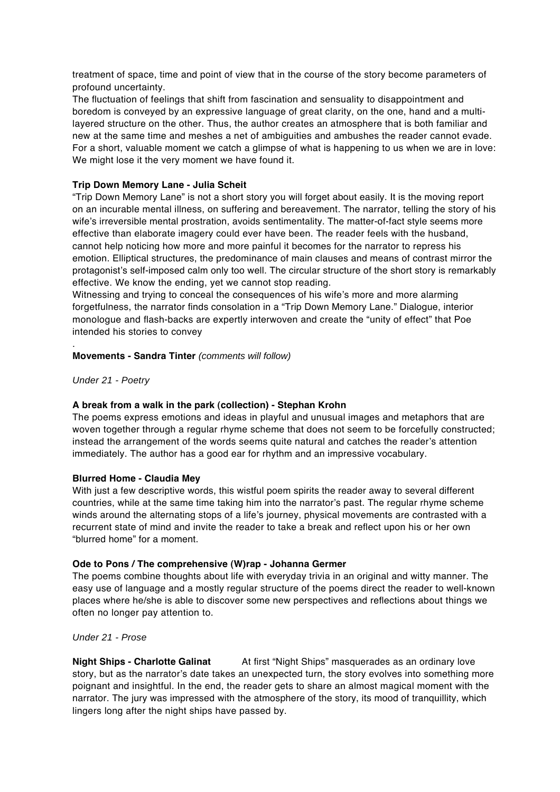treatment of space, time and point of view that in the course of the story become parameters of profound uncertainty.

The fluctuation of feelings that shift from fascination and sensuality to disappointment and boredom is conveyed by an expressive language of great clarity, on the one, hand and a multilayered structure on the other. Thus, the author creates an atmosphere that is both familiar and new at the same time and meshes a net of ambiguities and ambushes the reader cannot evade. For a short, valuable moment we catch a glimpse of what is happening to us when we are in love: We might lose it the very moment we have found it.

# **Trip Down Memory Lane - Julia Scheit**

"Trip Down Memory Lane" is not a short story you will forget about easily. It is the moving report on an incurable mental illness, on suffering and bereavement. The narrator, telling the story of his wife's irreversible mental prostration, avoids sentimentality. The matter-of-fact style seems more effective than elaborate imagery could ever have been. The reader feels with the husband, cannot help noticing how more and more painful it becomes for the narrator to repress his emotion. Elliptical structures, the predominance of main clauses and means of contrast mirror the protagonist's self-imposed calm only too well. The circular structure of the short story is remarkably effective. We know the ending, yet we cannot stop reading.

Witnessing and trying to conceal the consequences of his wife's more and more alarming forgetfulness, the narrator finds consolation in a "Trip Down Memory Lane." Dialogue, interior monologue and flash-backs are expertly interwoven and create the "unity of effect" that Poe intended his stories to convey

#### . **Movements - Sandra Tinter** (comments will follow)

Under 21 - Poetry

### **A break from a walk in the park (collection) - Stephan Krohn**

The poems express emotions and ideas in playful and unusual images and metaphors that are woven together through a regular rhyme scheme that does not seem to be forcefully constructed; instead the arrangement of the words seems quite natural and catches the reader's attention immediately. The author has a good ear for rhythm and an impressive vocabulary.

### **Blurred Home - Claudia Mey**

With just a few descriptive words, this wistful poem spirits the reader away to several different countries, while at the same time taking him into the narrator's past. The regular rhyme scheme winds around the alternating stops of a life's journey, physical movements are contrasted with a recurrent state of mind and invite the reader to take a break and reflect upon his or her own "blurred home" for a moment.

### **Ode to Pons / The comprehensive (W)rap - Johanna Germer**

The poems combine thoughts about life with everyday trivia in an original and witty manner. The easy use of language and a mostly regular structure of the poems direct the reader to well-known places where he/she is able to discover some new perspectives and reflections about things we often no longer pay attention to.

### Under 21 - Prose

**Night Ships - Charlotte Galinat** At first "Night Ships" masquerades as an ordinary love story, but as the narrator's date takes an unexpected turn, the story evolves into something more poignant and insightful. In the end, the reader gets to share an almost magical moment with the narrator. The jury was impressed with the atmosphere of the story, its mood of tranquillity, which lingers long after the night ships have passed by.